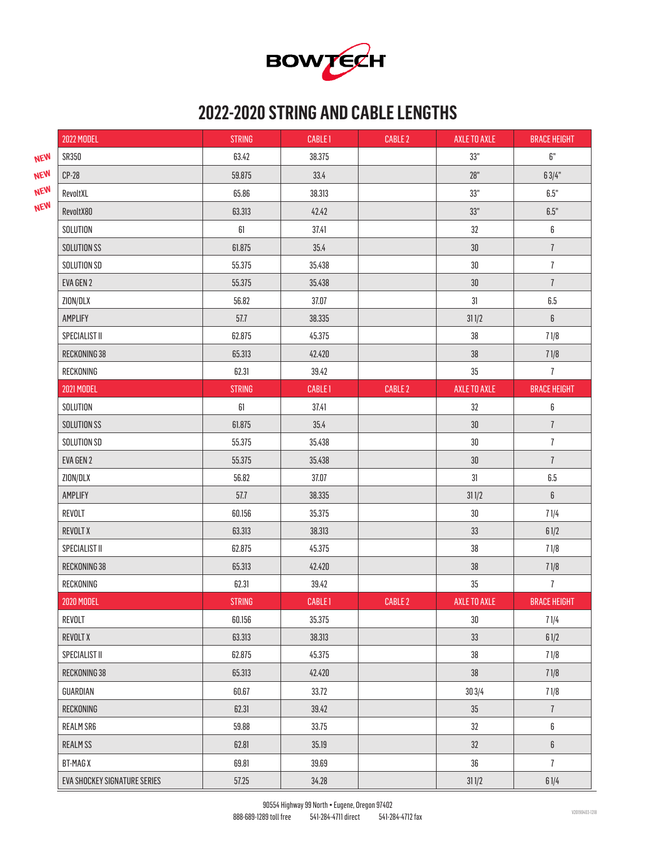

#### **2022-2020 STRING AND CABLE LENGTHS**

|            | 2022 MODEL                   | <b>STRING</b> | CABLE 1 | <b>CABLE 2</b> | AXLE TO AXLE | <b>BRACE HEIGHT</b> |
|------------|------------------------------|---------------|---------|----------------|--------------|---------------------|
| <b>NEW</b> | SR350                        | 63.42         | 38.375  |                | 33"          | 6"                  |
| <b>NEW</b> | $CP-28$                      | 59.875        | 33.4    |                | 28"          | 63/4"               |
| <b>NEW</b> | RevoltXL                     | 65.86         | 38.313  |                | 33"          | 6.5"                |
| <b>NEW</b> | RevoltX80                    | 63.313        | 42.42   |                | 33"          | 6.5"                |
|            | SOLUTION                     | 61            | 37.41   |                | 32           | $\boldsymbol{6}$    |
|            | SOLUTION SS                  | 61.875        | 35.4    |                | $30\,$       | $\overline{I}$      |
|            | SOLUTION SD                  | 55.375        | 35.438  |                | $30\,$       | $\overline{I}$      |
|            | EVA GEN 2                    | 55.375        | 35.438  |                | $30\,$       | $\overline{1}$      |
|            | ZION/DLX                     | 56.82         | 37.07   |                | 31           | $6.5\,$             |
|            | AMPLIFY                      | 57.7          | 38.335  |                | 311/2        | $\boldsymbol{6}$    |
|            | SPECIALIST II                | 62.875        | 45.375  |                | $38\,$       | 71/8                |
|            | RECKONING 38                 | 65.313        | 42.420  |                | $38\,$       | 71/8                |
|            | RECKONING                    | 62.31         | 39.42   |                | $35\,$       | $\overline{1}$      |
|            | <b>2021 MODEL</b>            | <b>STRING</b> | CABLE 1 | <b>CABLE 2</b> | AXLE TO AXLE | <b>BRACE HEIGHT</b> |
|            | SOLUTION                     | 61            | 37.41   |                | 32           | $\boldsymbol{6}$    |
|            | SOLUTION SS                  | 61.875        | 35.4    |                | $30\,$       | $\overline{1}$      |
|            | SOLUTION SD                  | 55.375        | 35.438  |                | $30\,$       | $\overline{1}$      |
|            | EVA GEN 2                    | 55.375        | 35.438  |                | $30\,$       | $\overline{1}$      |
|            | ZION/DLX                     | 56.82         | 37.07   |                | 31           | $6.5\,$             |
|            | AMPLIFY                      | $57.7\,$      | 38.335  |                | 311/2        | $\boldsymbol{6}$    |
|            | REVOLT                       | 60.156        | 35.375  |                | $30\,$       | 71/4                |
|            | REVOLT X                     | 63.313        | 38.313  |                | 33           | 61/2                |
|            | SPECIALIST II                | 62.875        | 45.375  |                | $38\,$       | 71/8                |
|            | RECKONING 38                 | 65.313        | 42.420  |                | $38\,$       | 71/8                |
|            | RECKONING                    | 62.31         | 39.42   |                | $35\,$       | $\overline{1}$      |
|            | <b>2020 MODEL</b>            | <b>STRING</b> | CABLE 1 | <b>CABLE 2</b> | AXLE TO AXLE | <b>BRACE HEIGHT</b> |
|            | REVOLT                       | 60.156        | 35.375  |                | $30\,$       | 71/4                |
|            | <b>REVOLT X</b>              | 63.313        | 38.313  |                | 33           | 61/2                |
|            | SPECIALIST II                | 62.875        | 45.375  |                | $38\,$       | 71/8                |
|            | RECKONING 38                 | 65.313        | 42.420  |                | 38           | 71/8                |
|            | GUARDIAN                     | 60.67         | 33.72   |                | 303/4        | 71/8                |
|            | RECKONING                    | 62.31         | 39.42   |                | $35\,$       | $\overline{1}$      |
|            | REALM SR6                    | 59.88         | 33.75   |                | 32           | 6                   |
|            | <b>REALMSS</b>               | 62.81         | 35.19   |                | 32           | 6                   |
|            | BT-MAG X                     | 69.81         | 39.69   |                | $36\,$       | $\overline{1}$      |
|            | EVA SHOCKEY SIGNATURE SERIES | 57.25         | 34.28   |                | 311/2        | 61/4                |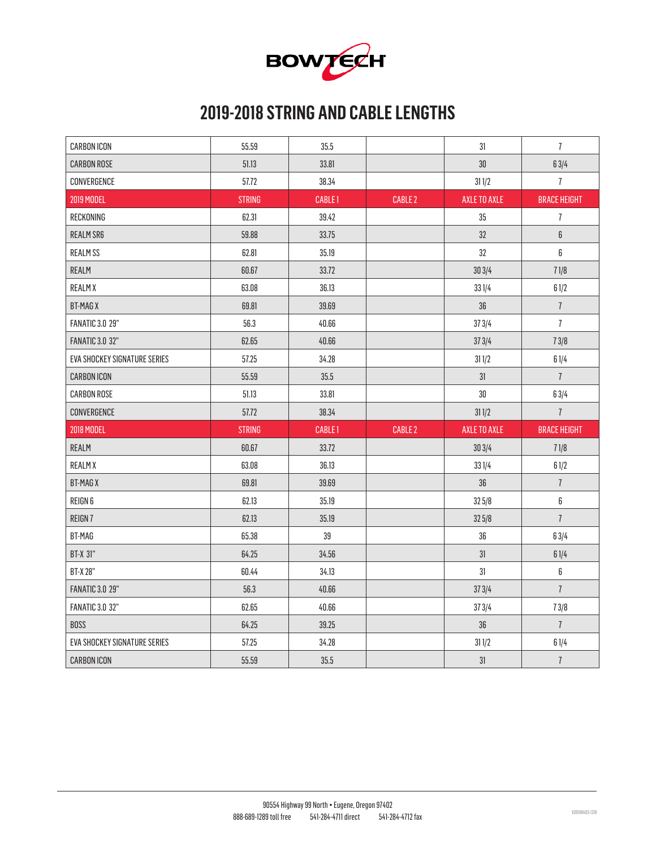

# **2019-2018 STRING AND CABLE LENGTHS**

| <b>CARBON ICON</b>           | 55.59         | 35.5    |                | 31                  | $\overline{1}$      |
|------------------------------|---------------|---------|----------------|---------------------|---------------------|
| <b>CARBON ROSE</b>           | 51.13         | 33.81   |                | $30\,$              | 63/4                |
| CONVERGENCE                  | 57.72         | 38.34   |                | 311/2               | $\overline{1}$      |
| <b>2019 MODEL</b>            | <b>STRING</b> | CABLE 1 | <b>CABLE 2</b> | <b>AXLE TO AXLE</b> | <b>BRACE HEIGHT</b> |
| RECKONING                    | 62.31         | 39.42   |                | 35                  | $\overline{I}$      |
| REALM SR6                    | 59.88         | 33.75   |                | 32                  | $\boldsymbol{6}$    |
| <b>REALMSS</b>               | 62.81         | 35.19   |                | 32                  | 6                   |
| REALM                        | 60.67         | 33.72   |                | 303/4               | 71/8                |
| <b>REALMX</b>                | 63.08         | 36.13   |                | 331/4               | 61/2                |
| <b>BT-MAGX</b>               | 69.81         | 39.69   |                | 36                  | $\overline{1}$      |
| <b>FANATIC 3.0 29"</b>       | 56.3          | 40.66   |                | 373/4               | $\overline{1}$      |
| <b>FANATIC 3.0 32"</b>       | 62.65         | 40.66   |                | 373/4               | 73/8                |
| EVA SHOCKEY SIGNATURE SERIES | 57.25         | 34.28   |                | 311/2               | 61/4                |
| <b>CARBON ICON</b>           | 55.59         | 35.5    |                | 31                  | $\overline{1}$      |
| <b>CARBON ROSE</b>           | 51.13         | 33.81   |                | $30\,$              | 63/4                |
|                              |               |         |                |                     |                     |
| CONVERGENCE                  | 57.72         | 38.34   |                | 311/2               | $\overline{1}$      |
| <b>2018 MODEL</b>            | <b>STRING</b> | CABLE 1 | <b>CABLE 2</b> | <b>AXLE TO AXLE</b> | <b>BRACE HEIGHT</b> |
| REALM                        | 60.67         | 33.72   |                | 303/4               | 71/8                |
| <b>REALMX</b>                | 63.08         | 36.13   |                | 331/4               | 61/2                |
| <b>BT-MAGX</b>               | 69.81         | 39.69   |                | $36\,$              | $\overline{1}$      |
| REIGN 6                      | 62.13         | 35.19   |                | 325/8               | 6                   |
| REIGN 7                      | 62.13         | 35.19   |                | 325/8               | $\overline{1}$      |
| BT-MAG                       | 65.38         | 39      |                | 36                  | 63/4                |
| BT-X 31"                     | 64.25         | 34.56   |                | 31                  | 61/4                |
| <b>BT-X28"</b>               | 60.44         | 34.13   |                | 31                  | 6                   |
| <b>FANATIC 3.0 29"</b>       | 56.3          | 40.66   |                | 373/4               | $\overline{1}$      |
| <b>FANATIC 3.0 32"</b>       | 62.65         | 40.66   |                | 373/4               | 73/8                |
| <b>BOSS</b>                  | 64.25         | 39.25   |                | 36                  | $\overline{1}$      |
| EVA SHOCKEY SIGNATURE SERIES | 57.25         | 34.28   |                | 311/2               | 61/4                |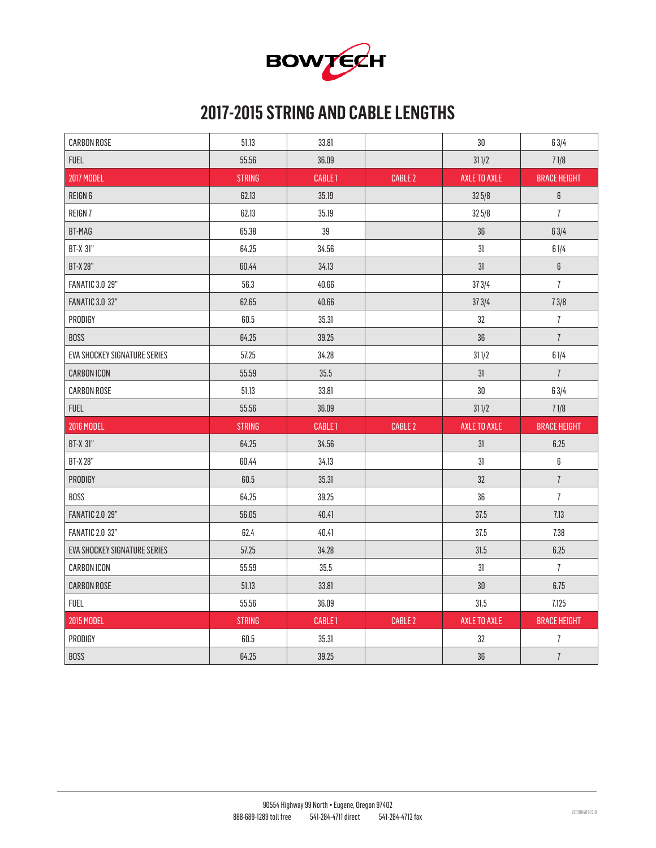

### **2017-2015 STRING AND CABLE LENGTHS**

| <b>CARBON ROSE</b>           | 51.13         | 33.81          |                | 30                  | 63/4                |
|------------------------------|---------------|----------------|----------------|---------------------|---------------------|
| <b>FUEL</b>                  | 55.56         | 36.09          |                | 311/2               | 71/8                |
| <b>2017 MODEL</b>            | <b>STRING</b> | <b>CABLE 1</b> | <b>CABLE 2</b> | <b>AXLE TO AXLE</b> | <b>BRACE HEIGHT</b> |
| REIGN 6                      | 62.13         | 35.19          |                | 325/8               | $\boldsymbol{6}$    |
| REIGN 7                      | 62.13         | 35.19          |                | 325/8               | $\overline{l}$      |
| BT-MAG                       | 65.38         | 39             |                | 36                  | 63/4                |
| BT-X 31"                     | 64.25         | 34.56          |                | 31                  | 61/4                |
| BT-X 28"                     | 60.44         | 34.13          |                | 31                  | $\boldsymbol{6}$    |
| <b>FANATIC 3.0 29"</b>       | 56.3          | 40.66          |                | 373/4               | $\overline{1}$      |
| <b>FANATIC 3.0 32"</b>       | 62.65         | $40.66\,$      |                | 373/4               | 73/8                |
| PRODIGY                      | 60.5          | 35.31          |                | 32                  | $\overline{1}$      |
| <b>BOSS</b>                  | 64.25         | 39.25          |                | 36                  | $\overline{1}$      |
| EVA SHOCKEY SIGNATURE SERIES | 57.25         | 34.28          |                | 311/2               | 61/4                |
| <b>CARBON ICON</b>           | 55.59         | 35.5           |                | 31                  | $\overline{1}$      |
| <b>CARBON ROSE</b>           | 51.13         | 33.81          |                | $30\,$              | 63/4                |
|                              |               |                |                |                     |                     |
| <b>FUEL</b>                  | 55.56         | 36.09          |                | 311/2               | 71/8                |
| <b>2016 MODEL</b>            | <b>STRING</b> | <b>CABLE 1</b> | <b>CABLE 2</b> | <b>AXLE TO AXLE</b> | <b>BRACE HEIGHT</b> |
| <b>BT-X 31"</b>              | 64.25         | 34.56          |                | 31                  | 6.25                |
| <b>BT-X28"</b>               | 60.44         | 34.13          |                | 31                  | 6                   |
| PRODIGY                      | 60.5          | 35.31          |                | 32                  | $\overline{1}$      |
| BOSS                         | 64.25         | 39.25          |                | 36                  | $\overline{1}$      |
| <b>FANATIC 2.0 29"</b>       | 56.05         | 40.41          |                | 37.5                | 7.13                |
| <b>FANATIC 2.0 32"</b>       | 62.4          | 40.41          |                | 37.5                | 7.38                |
| EVA SHOCKEY SIGNATURE SERIES | 57.25         | 34.28          |                | 31.5                | 6.25                |
| <b>CARBON ICON</b>           | 55.59         | 35.5           |                | 31                  | $\overline{1}$      |
| <b>CARBON ROSE</b>           | 51.13         | 33.81          |                | $30\,$              | 6.75                |
| <b>FUEL</b>                  | 55.56         | 36.09          |                | 31.5                | 7.125               |
| <b>2015 MODEL</b>            | <b>STRING</b> | <b>CABLE 1</b> | <b>CABLE 2</b> | <b>AXLE TO AXLE</b> | <b>BRACE HEIGHT</b> |
| PRODIGY                      | 60.5          | 35.31          |                | 32                  | $\overline{1}$      |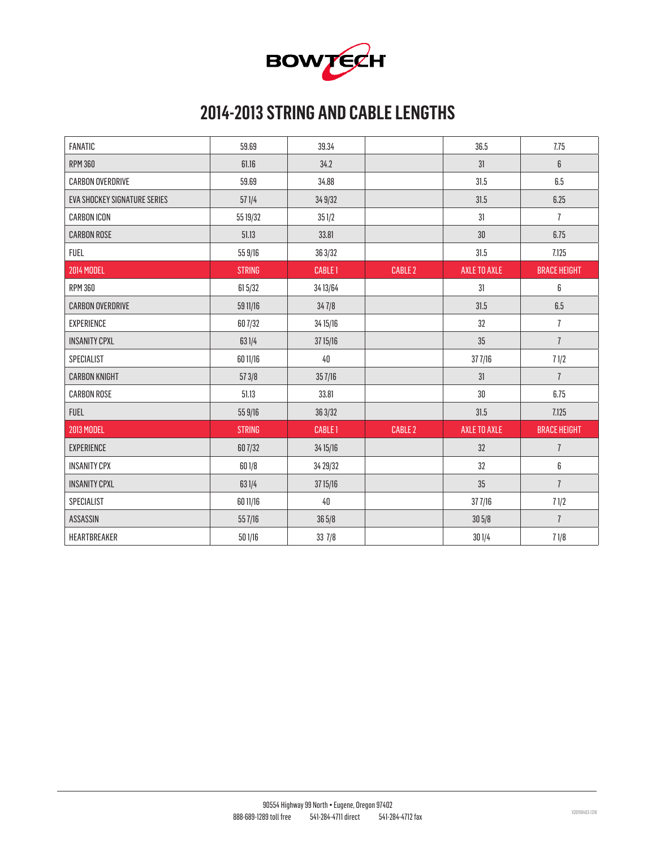

# **2014-2013 STRING AND CABLE LENGTHS**

| <b>FANATIC</b>               | 59.69         | 39.34          |                | 36.5                | 7.75                |
|------------------------------|---------------|----------------|----------------|---------------------|---------------------|
| <b>RPM 360</b>               | 61.16         | 34.2           |                | 31                  | $\boldsymbol{6}$    |
| <b>CARBON OVERDRIVE</b>      | 59.69         | 34.88          |                | 31.5                | 6.5                 |
| EVA SHOCKEY SIGNATURE SERIES | 571/4         | 349/32         |                | 31.5                | 6.25                |
| <b>CARBON ICON</b>           | 55 19/32      | 351/2          |                | 31                  | $\overline{1}$      |
| <b>CARBON ROSE</b>           | 51.13         | 33.81          |                | 30                  | 6.75                |
| <b>FUEL</b>                  | 55 9/16       | 363/32         |                | 31.5                | 7.125               |
| <b>2014 MODEL</b>            | <b>STRING</b> | <b>CABLE 1</b> | <b>CABLE 2</b> | <b>AXLE TO AXLE</b> | <b>BRACE HEIGHT</b> |
| <b>RPM 360</b>               | 615/32        | 34 13/64       |                | 31                  | 6                   |
| <b>CARBON OVERDRIVE</b>      | 59 11/16      | 347/8          |                | 31.5                | 6.5                 |
| <b>EXPERIENCE</b>            | 607/32        | 34 15/16       |                | 32                  | $\overline{1}$      |
| <b>INSANITY CPXL</b>         | 631/4         | 37 15/16       |                | 35                  | $\overline{1}$      |
| SPECIALIST                   | 60 11/16      | 40             |                | 377/16              | 71/2                |
| <b>CARBON KNIGHT</b>         | 573/8         | 357/16         |                | 31                  | $\overline{1}$      |
| <b>CARBON ROSE</b>           | 51.13         | 33.81          |                | 30                  | 6.75                |
| <b>FUEL</b>                  | 55 9/16       | 363/32         |                | 31.5                | 7.125               |
| 2013 MODEL                   | <b>STRING</b> | <b>CABLE 1</b> | <b>CABLE 2</b> | <b>AXLE TO AXLE</b> | <b>BRACE HEIGHT</b> |
| <b>EXPERIENCE</b>            | 607/32        | 34 15/16       |                | 32                  | $\overline{1}$      |
| <b>INSANITY CPX</b>          | $601/8$       | 34 29/32       |                | 32                  | 6                   |
| <b>INSANITY CPXL</b>         | 631/4         | 37 15/16       |                | 35                  | $\overline{1}$      |
| SPECIALIST                   | 60 11/16      | 40             |                | 377/16              | 71/2                |
| ASSASSIN                     | 557/16        | 365/8          |                | 305/8               | $\overline{1}$      |
| HEARTBREAKER                 | 501/16        | 33 7/8         |                | 301/4               | 71/8                |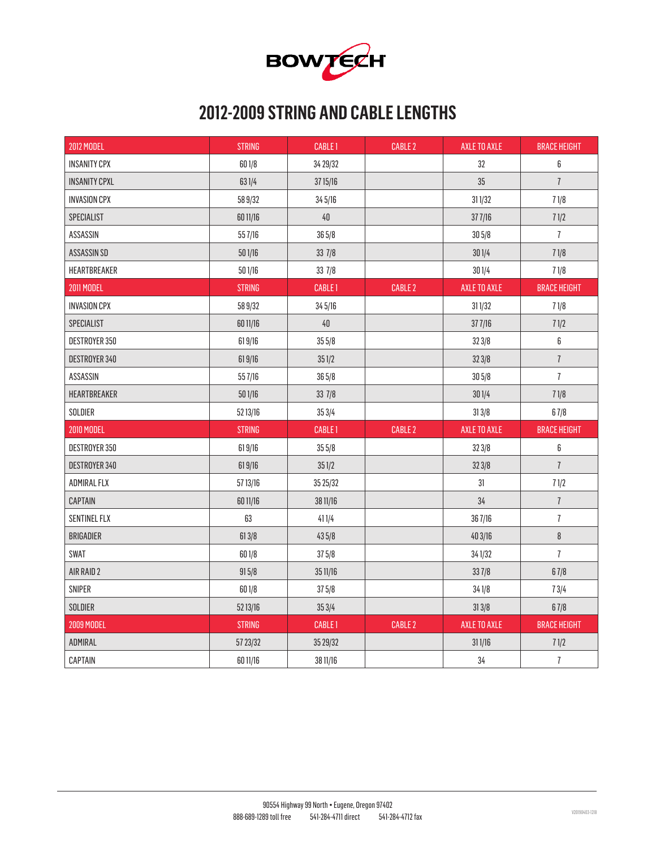

### **2012-2009 STRING AND CABLE LENGTHS**

| 2012 MODEL           | <b>STRING</b> | <b>CABLE 1</b>     | <b>CABLE 2</b> | <b>AXLE TO AXLE</b> | <b>BRACE HEIGHT</b> |
|----------------------|---------------|--------------------|----------------|---------------------|---------------------|
| <b>INSANITY CPX</b>  | 601/8         | 34 29/32           |                | 32                  | 6                   |
| <b>INSANITY CPXL</b> | 631/4         | 37 15/16           |                | 35                  | $\overline{I}$      |
| <b>INVASION CPX</b>  | 58 9/32       | 345/16             |                | 311/32              | 71/8                |
| SPECIALIST           | 60 11/16      | $40\,$             |                | 377/16              | 71/2                |
| ASSASSIN             | 557/16        | 36 5/8             |                | 305/8               | $\overline{1}$      |
| ASSASSIN SD          | 501/16        | 33 7/8             |                | 301/4               | 71/8                |
| HEARTBREAKER         | 501/16        | 33 7/8             |                | 301/4               | 71/8                |
| 2011 MODEL           | <b>STRING</b> | CABLE <sub>1</sub> | <b>CABLE 2</b> | <b>AXLE TO AXLE</b> | <b>BRACE HEIGHT</b> |
| <b>INVASION CPX</b>  | 589/32        | 345/16             |                | 311/32              | 71/8                |
| SPECIALIST           | 60 11/16      | $40\,$             |                | 377/16              | 71/2                |
| DESTROYER 350        | 619/16        | 355/8              |                | 323/8               | 6                   |
| DESTROYER 340        | 619/16        | 351/2              |                | 323/8               | $\boldsymbol{7}$    |
| ASSASSIN             | 557/16        | 365/8              |                | 305/8               | $\overline{1}$      |
| HEARTBREAKER         | 501/16        | 33 7/8             |                | 301/4               | 71/8                |
| SOLDIER              | 52 13/16      | 353/4              |                | 313/8               | 67/8                |
| 2010 MODEL           | <b>STRING</b> | CABLE <sub>1</sub> | <b>CABLE 2</b> | AXLE TO AXLE        | <b>BRACE HEIGHT</b> |
| DESTROYER 350        | 619/16        | 355/8              |                | 323/8               | 6                   |
| DESTROYER 340        | 619/16        | 351/2              |                | 323/8               | $\overline{I}$      |
| ADMIRAL FLX          | 57 13/16      | 35 25/32           |                | 31                  | 71/2                |
| CAPTAIN              | 60 11/16      | 38 11/16           |                | 34                  | $\overline{I}$      |
| <b>SENTINEL FLX</b>  | 63            | 411/4              |                | 367/16              | $\overline{I}$      |
| BRIGADIER            | 613/8         | 435/8              |                | 403/16              | $\boldsymbol{8}$    |
| SWAT                 | 601/8         | 375/8              |                | 341/32              | $\overline{I}$      |
| AIR RAID 2           | 915/8         | 35 11/16           |                | 337/8               | 67/8                |
| SNIPER               | 601/8         | 375/8              |                | 341/8               | 73/4                |
| SOLDIER              | 52 13/16      | 353/4              |                | 313/8               | 67/8                |
| <b>2009 MODEL</b>    | <b>STRING</b> | CABLE 1            | <b>CABLE 2</b> | AXLE TO AXLE        | <b>BRACE HEIGHT</b> |
| ADMIRAL              | 57 23/32      | 35 29/32           |                | 311/16              | 71/2                |
| CAPTAIN              | 60 11/16      | 38 11/16           |                | 34                  | $\overline{1}$      |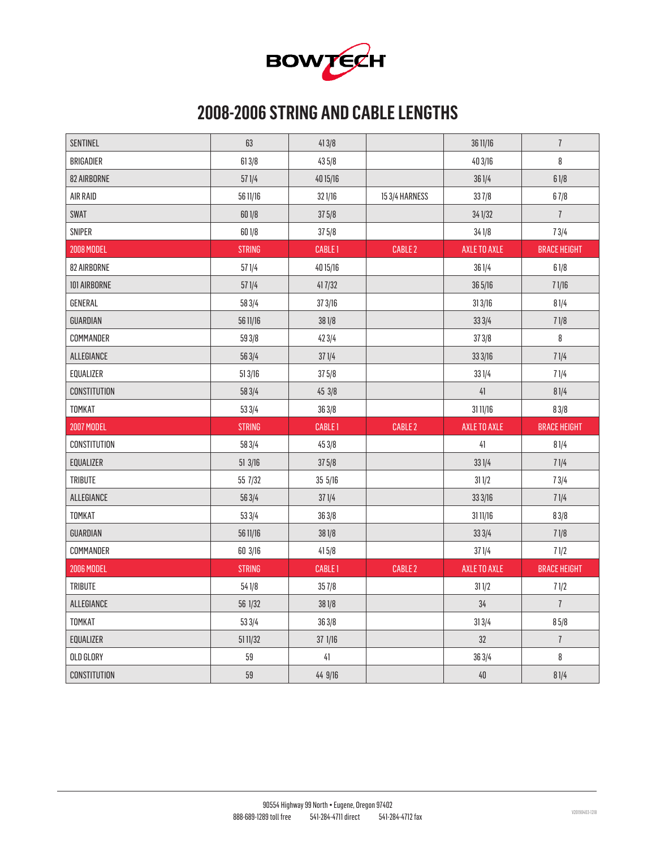

### **2008-2006 STRING AND CABLE LENGTHS**

| <b>SENTINEL</b>     | 63            | 413/8         |                | 36 11/16            | $\overline{1}$      |
|---------------------|---------------|---------------|----------------|---------------------|---------------------|
| BRIGADIER           | 613/8         | 435/8         |                | 403/16              | 8                   |
| 82 AIRBORNE         | 571/4         | 40 15/16      |                | 361/4               | 61/8                |
| AIR RAID            | 56 11/16      | 321/16        | 153/4 HARNESS  | 337/8               | 67/8                |
| <b>SWAT</b>         | $601/8$       | 375/8         |                | 341/32              | $\overline{1}$      |
| SNIPER              | 601/8         | 375/8         |                | 341/8               | 73/4                |
| <b>2008 MODEL</b>   | <b>STRING</b> | <b>CABLE1</b> | <b>CABLE 2</b> | <b>AXLE TO AXLE</b> | <b>BRACE HEIGHT</b> |
| 82 AIRBORNE         | 571/4         | 40 15/16      |                | 361/4               | 61/8                |
| 101 AIRBORNE        | 571/4         | 417/32        |                | 365/16              | 71/16               |
| GENERAL             | 583/4         | 373/16        |                | 313/16              | 81/4                |
| GUARDIAN            | 56 11/16      | 381/8         |                | 333/4               | 71/8                |
| COMMANDER           | 593/8         | 423/4         |                | 373/8               | 8                   |
| ALLEGIANCE          | 563/4         | 371/4         |                | 333/16              | 71/4                |
| EQUALIZER           | 513/16        | 375/8         |                | 331/4               | 71/4                |
| <b>CONSTITUTION</b> | 58 3/4        | 45 3/8        |                | $41$                | 81/4                |
|                     |               |               |                |                     |                     |
| TOMKAT              | 533/4         | 36 3/8        |                | 3111/16             | 83/8                |
| <b>2007 MODEL</b>   | <b>STRING</b> | CABLE 1       | <b>CABLE 2</b> | <b>AXLE TO AXLE</b> | <b>BRACE HEIGHT</b> |
| CONSTITUTION        | 58 3/4        | 45 3/8        |                | 41                  | 81/4                |
| EQUALIZER           | 513/16        | 375/8         |                | 331/4               | 71/4                |
| <b>TRIBUTE</b>      | 55 7/32       | 35 5/16       |                | 311/2               | 73/4                |
| ALLEGIANCE          | 563/4         | 371/4         |                | 333/16              | 71/4                |
| TOMKAT              | 533/4         | 36 3/8        |                | 3111/16             | 83/8                |
| GUARDIAN            | 56 11/16      | 381/8         |                | 333/4               | 71/8                |
| COMMANDER           | 60 3/16       | 415/8         |                | 371/4               | 71/2                |
| <b>2006 MODEL</b>   | <b>STRING</b> | CABLE 1       | <b>CABLE 2</b> | <b>AXLE TO AXLE</b> | <b>BRACE HEIGHT</b> |
| TRIBUTE             | 541/8         | 357/8         |                | 311/2               | 71/2                |
| ALLEGIANCE          | 56 1/32       | 381/8         |                | 34                  | $\overline{1}$      |
| TOMKAT              | 533/4         | $36\,3/8$     |                | 313/4               | 85/8                |
| EQUALIZER           | 5111/32       | 371/16        |                | 32                  | $\overline{1}$      |
| OLD GLORY           | 59            | 41            |                | 36 3/4              | 8                   |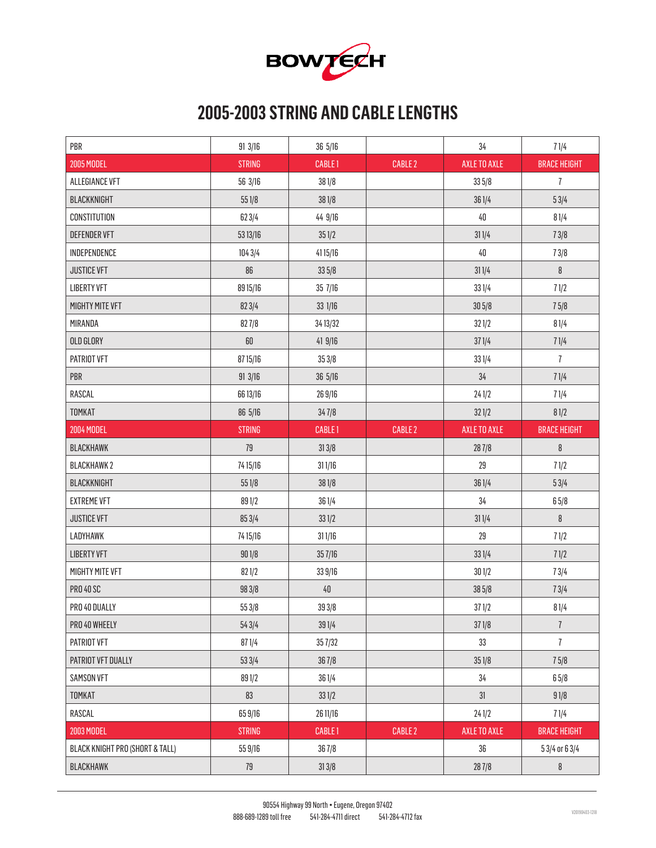

### **2005-2003 STRING AND CABLE LENGTHS**

| PBR                             | 913/16        | 36 5/16       |                | 34                  | 71/4                        |
|---------------------------------|---------------|---------------|----------------|---------------------|-----------------------------|
| <b>2005 MODEL</b>               | <b>STRING</b> | CABLE 1       | <b>CABLE 2</b> | <b>AXLE TO AXLE</b> | <b>BRACE HEIGHT</b>         |
| ALLEGIANCE VFT                  | 56 3/16       | 381/8         |                | 335/8               | $\overline{1}$              |
| BLACKKNIGHT                     | 551/8         | 381/8         |                | 361/4               | 53/4                        |
| CONSTITUTION                    | 623/4         | 44 9/16       |                | $40\,$              | 81/4                        |
| DEFENDER VFT                    | 53 13/16      | 351/2         |                | 311/4               | 73/8                        |
| INDEPENDENCE                    | 1043/4        | 4115/16       |                | $40\,$              | 73/8                        |
| <b>JUSTICE VFT</b>              | 86            | 335/8         |                | 311/4               | $\boldsymbol{\mathfrak{g}}$ |
| <b>LIBERTY VFT</b>              | 89 15/16      | 35 7/16       |                | 331/4               | 71/2                        |
| MIGHTY MITE VFT                 | 823/4         | 331/16        |                | 305/8               | 75/8                        |
| MIRANDA                         | 827/8         | 34 13/32      |                | 321/2               | 81/4                        |
| OLD GLORY                       | $60\,$        | 419/16        |                | 371/4               | 71/4                        |
| PATRIOT VFT                     | 8715/16       | 353/8         |                | 331/4               | $\overline{1}$              |
| PBR                             | 913/16        | 36 5/16       |                | 34                  | 71/4                        |
| RASCAL                          | 66 13/16      | 26 9/16       |                | 241/2               | 71/4                        |
| <b>TOMKAT</b>                   | 86 5/16       | 347/8         |                | 321/2               | 81/2                        |
| <b>2004 MODEL</b>               | <b>STRING</b> | CABLE 1       | <b>CABLE 2</b> | <b>AXLE TO AXLE</b> | <b>BRACE HEIGHT</b>         |
| <b>BLACKHAWK</b>                | $79$          | 313/8         |                | 287/8               | $\boldsymbol{8}$            |
| <b>BLACKHAWK2</b>               | 74 15/16      | 311/16        |                | 29                  | 71/2                        |
| BLACKKNIGHT                     | 551/8         | 381/8         |                | 361/4               | 53/4                        |
| <b>EXTREME VFT</b>              | 891/2         | 361/4         |                | 34                  | 65/8                        |
| <b>JUSTICE VFT</b>              | 853/4         | 331/2         |                | 311/4               | $\boldsymbol{8}$            |
| LADYHAWK                        | 74 15/16      | 311/16        |                | 29                  | 71/2                        |
| <b>LIBERTY VFT</b>              | 901/8         | 357/16        |                | 331/4               | 71/2                        |
| MIGHTY MITE VFT                 | 821/2         | 33 9/16       |                | 301/2               | 73/4                        |
| <b>PRO 40 SC</b>                | 983/8         | $40\,$        |                | 385/8               | 73/4                        |
| PRO 40 DUALLY                   | 553/8         | 39 3/8        |                | 371/2               | 81/4                        |
| PRO 40 WHEELY                   | 543/4         | 391/4         |                | 371/8               | $\overline{1}$              |
| PATRIOT VFT                     | 871/4         | 357/32        |                | 33                  | $\overline{1}$              |
| PATRIOT VFT DUALLY              | 533/4         | 367/8         |                | 351/8               | 75/8                        |
| SAMSON VFT                      | 891/2         | 361/4         |                | 34                  | 65/8                        |
| <b>TOMKAT</b>                   | 83            | 331/2         |                | $31\,$              | 91/8                        |
| RASCAL                          | 65 9/16       | 26 11/16      |                | 241/2               | 71/4                        |
| 2003 MODEL                      | <b>STRING</b> | <b>CABLE1</b> | <b>CABLE 2</b> | <b>AXLE TO AXLE</b> | <b>BRACE HEIGHT</b>         |
| BLACK KNIGHT PRO (SHORT & TALL) | 559/16        | 367/8         |                | $36\,$              | 5 3/4 or 6 3/4              |
| BLACKHAWK                       | $79$          | 313/8         |                | 287/8               | $\boldsymbol{\vartheta}$    |